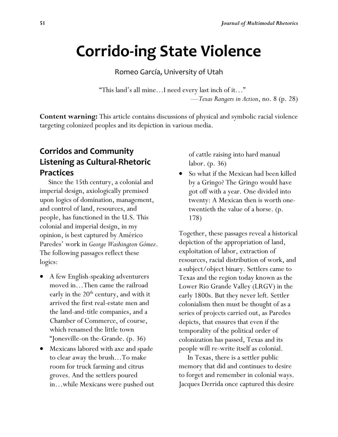# **Corrido-ing State Violence**

Romeo García, University of Utah

"This land's all mine…I need every last inch of it…" —*Texas Rangers in Action*, no. 8 (p. 28)

**Content warning:** This article contains discussions of physical and symbolic racial violence targeting colonized peoples and its depiction in various media.

# **Corridos and Community Listening as Cultural-Rhetoric Practices**

 Since the 15th century, a colonial and imperial design, axiologically premised upon logics of domination, management, and control of land, resources, and people, has functioned in the U.S. This colonial and imperial design, in my opinion, is best captured by Américo Paredes' work in *George Washington Gómez*. The following passages reflect these logics:

- A few English-speaking adventurers moved in…Then came the railroad early in the  $20<sup>th</sup>$  century, and with it arrived the first real-estate men and the land-and-title companies, and a Chamber of Commerce, of course, which renamed the little town "Jonesville-on the-Grande. (p. 36)
- Mexicans labored with axe and spade to clear away the brush…To make room for truck farming and citrus groves. And the settlers poured in…while Mexicans were pushed out

of cattle raising into hard manual labor. (p. 36)

So what if the Mexican had been killed by a Gringo? The Gringo would have got off with a year. One divided into twenty: A Mexican then is worth onetwentieth the value of a horse. (p. 178)

Together, these passages reveal a historical depiction of the appropriation of land, exploitation of labor, extraction of resources, racial distribution of work, and a subject/object binary. Settlers came to Texas and the region today known as the Lower Rio Grande Valley (LRGV) in the early 1800s. But they never left. Settler colonialism then must be thought of as a series of projects carried out, as Paredes depicts, that ensures that even if the temporality of the political order of colonization has passed, Texas and its people will re-write itself as colonial.

 In Texas, there is a settler public memory that did and continues to desire to forget and remember in colonial ways. Jacques Derrida once captured this desire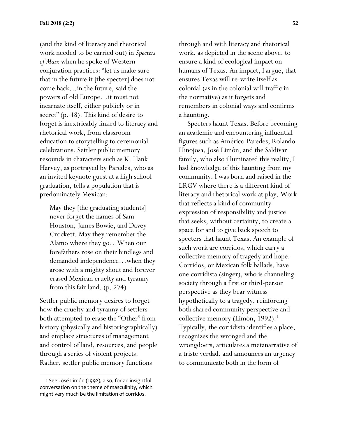(and the kind of literacy and rhetorical work needed to be carried out) in *Specters of Marx* when he spoke of Western conjuration practices: "let us make sure that in the future it [the specter] does not come back…in the future, said the powers of old Europe…it must not incarnate itself, either publicly or in secret" (p. 48). This kind of desire to forget is inextricably linked to literacy and rhetorical work, from classroom education to storytelling to ceremonial celebrations. Settler public memory resounds in characters such as K. Hank Harvey, as portrayed by Paredes, who as an invited keynote guest at a high school graduation, tells a population that is predominately Mexican:

May they [the graduating students] never forget the names of Sam Houston, James Bowie, and Davey Crockett. May they remember the Alamo where they go…When our forefathers rose on their hindlegs and demanded independence…when they arose with a mighty shout and forever erased Mexican cruelty and tyranny from this fair land. (p. 274)

Settler public memory desires to forget how the cruelty and tyranny of settlers both attempted to erase the "Other" from history (physically and historiographically) and emplace structures of management and control of land, resources, and people through a series of violent projects. Rather, settler public memory functions

through and with literacy and rhetorical work, as depicted in the scene above, to ensure a kind of ecological impact on humans of Texas. An impact, I argue, that ensures Texas will re-write itself as colonial (as in the colonial will traffic in the normative) as it forgets and remembers in colonial ways and confirms a haunting.

 Specters haunt Texas. Before becoming an academic and encountering influential figures such as Américo Paredes, Rolando Hinojosa, José Limón, and the Saldívar family, who also illuminated this reality, I had knowledge of this haunting from my community. I was born and raised in the LRGV where there is a different kind of literacy and rhetorical work at play. Work that reflects a kind of community expression of responsibility and justice that seeks, without certainty, to create a space for and to give back speech to specters that haunt Texas. An example of such work are corridos, which carry a collective memory of tragedy and hope. Corridos, or Mexican folk ballads, have one corridista (singer), who is channeling society through a first or third-person perspective as they bear witness hypothetically to a tragedy, reinforcing both shared community perspective and collective memory (Limón, 1992).<sup>1</sup> Typically, the corridista identifies a place, recognizes the wronged and the wrongdoers, articulates a metanarrative of a triste verdad, and announces an urgency to communicate both in the form of

 <sup>1</sup> See José Limón (1992), also, for an insightful conversation on the theme of masculinity, which might very much be the limitation of corridos.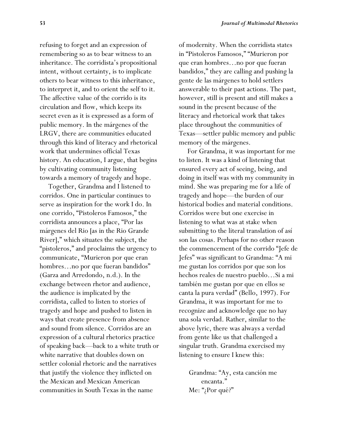refusing to forget and an expression of remembering so as to bear witness to an inheritance. The corridista's propositional intent, without certainty, is to implicate others to bear witness to this inheritance, to interpret it, and to orient the self to it. The affective value of the corrido is its circulation and flow, which keeps its secret even as it is expressed as a form of public memory. In the márgenes of the LRGV, there are communities educated through this kind of literacy and rhetorical work that undermines official Texas history. An education, I argue, that begins by cultivating community listening towards a memory of tragedy and hope.

 Together, Grandma and I listened to corridos. One in particular continues to serve as inspiration for the work I do. In one corrido, "Pistoleros Famosos," the corridista announces a place, "Por las márgenes del Rio [as in the Rio Grande River]," which situates the subject, the "pistoleros," and proclaims the urgency to communicate, "Murieron por que eran hombres...no por que fueran bandidos" (Garza and Arredondo, n.d.). In the exchange between rhetor and audience, the audience is implicated by the corridista, called to listen to stories of tragedy and hope and pushed to listen in ways that create presence from absence and sound from silence. Corridos are an expression of a cultural rhetorics practice of speaking back—back to a white truth or white narrative that doubles down on settler colonial rhetoric and the narratives that justify the violence they inflicted on the Mexican and Mexican American communities in South Texas in the name

of modernity. When the corridista states in "Pistoleros Famosos," "Murieron por que eran hombres…no por que fueran bandidos," they are calling and pushing la gente de las márgenes to hold settlers answerable to their past actions. The past, however, still is present and still makes a sound in the present because of the literacy and rhetorical work that takes place throughout the communities of Texas—settler public memory and public memory of the márgenes.

 For Grandma, it was important for me to listen. It was a kind of listening that ensured every act of seeing, being, and doing in itself was with my community in mind. She was preparing me for a life of tragedy and hope—the burden of our historical bodies and material conditions. Corridos were but one exercise in listening to what was at stake when submitting to the literal translation of así son las cosas. Perhaps for no other reason the commencement of the corrido "Jefe de Jefes" was significant to Grandma: "A mi me gustan los corridos por que son los hechos reales de nuestro pueblo…Si a mi también me gustan por que en ellos se canta la pura verdad" (Bello, 1997). For Grandma, it was important for me to recognize and acknowledge que no hay una sola verdad. Rather, similar to the above lyric, there was always a verdad from gente like us that challenged a singular truth. Grandma exercised my listening to ensure I knew this:

Grandma: "Ay, esta canción me encanta." Me: "¿Por qué?"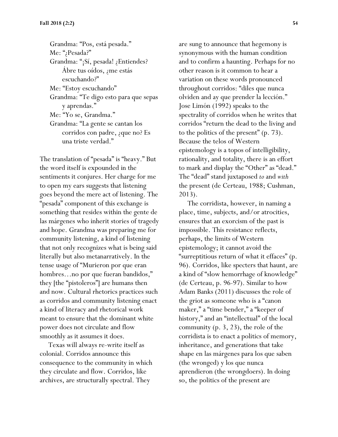Grandma: "Pos, está pesada." Me: "¿Pesada?" Grandma: "¡Sí, pesada! ¿Entiendes? Ábre tus oídos, ¿me estás escuchando?" Me: "Estoy escuchando" Grandma: "Te digo esto para que sepas y aprendas." Me: "Yo se, Grandma." Grandma: "La gente se cantan los corridos con padre, ¿que no? Es una triste verdad."

The translation of "pesada" is "heavy." But the word itself is expounded in the sentiments it conjures. Her charge for me to open my ears suggests that listening goes beyond the mere act of listening. The "pesada" component of this exchange is something that resides within the gente de las márgenes who inherit stories of tragedy and hope. Grandma was preparing me for community listening, a kind of listening that not only recognizes what is being said literally but also metanarratively. In the tense usage of "Murieron por que eran hombres...no por que fueran bandidos," they [the "pistoleros"] are humans then and now. Cultural rhetorics practices such as corridos and community listening enact a kind of literacy and rhetorical work meant to ensure that the dominant white power does not circulate and flow smoothly as it assumes it does.

 Texas will always re-write itself as colonial. Corridos announce this consequence to the community in which they circulate and flow. Corridos, like archives, are structurally spectral. They

are sung to announce that hegemony is synonymous with the human condition and to confirm a haunting. Perhaps for no other reason is it common to hear a variation on these words pronounced throughout corridos: "diles que nunca olviden and ay que prender la lección." Jose Limón (1992) speaks to the spectrality of corridos when he writes that corridos "return the dead to the living and to the politics of the present" (p. 73). Because the telos of Western epistemology is a topos of intelligibility, rationality, and totality, there is an effort to mark and display the "Other" as "dead." The "dead" stand juxtaposed *to* and *with* the present (de Certeau, 1988; Cushman, 2013).

 The corridista, however, in naming a place, time, subjects, and/or atrocities, ensures that an exorcism of the past is impossible. This resistance reflects, perhaps, the limits of Western epistemology; it cannot avoid the "surreptitious return of what it effaces" (p. 96). Corridos, like specters that haunt, are a kind of "slow hemorrhage of knowledge" (de Certeau, p. 96-97). Similar to how Adam Banks (2011) discusses the role of the griot as someone who is a "canon maker," a "time bender," a "keeper of history," and an "intellectual" of the local community (p. 3, 23), the role of the corridista is to enact a politics of memory, inheritance, and generations that take shape en las márgenes para los que saben (the wronged) y los que nunca aprendieron (the wrongdoers). In doing so, the politics of the present are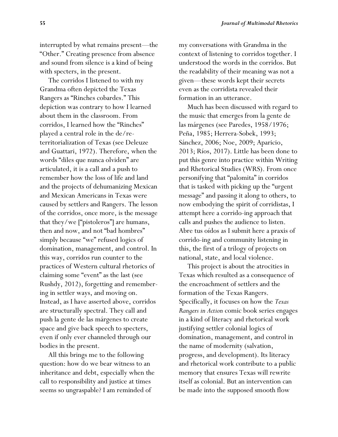interrupted by what remains present—the "Other." Creating presence from absence and sound from silence is a kind of being with specters, in the present.

 The corridos I listened to with my Grandma often depicted the Texas Rangers as "Rinches cobardes." This depiction was contrary to how I learned about them in the classroom. From corridos, I learned how the "Rinches" played a central role in the de/reterritorialization of Texas (see Deleuze and Guattari, 1972). Therefore, when the words "diles que nunca olviden" are articulated, it is a call and a push to remember how the loss of life and land and the projects of dehumanizing Mexican and Mexican Americans in Texas were caused by settlers and Rangers. The lesson of the corridos, once more, is the message that they/we ["pistoleros"] are humans, then and now, and not "bad hombres" simply because "we" refused logics of domination, management, and control. In this way, corridos run counter to the practices of Western cultural rhetorics of claiming some "event" as the last (see Rushdy, 2012), forgetting and remembering in settler ways, and moving on. Instead, as I have asserted above, corridos are structurally spectral. They call and push la gente de las márgenes to create space and give back speech to specters, even if only ever channeled through our bodies in the present.

 All this brings me to the following question: how do we bear witness to an inheritance and debt, especially when the call to responsibility and justice at times seems so ungraspable? I am reminded of

my conversations with Grandma in the context of listening to corridos together. I understood the words in the corridos. But the readability of their meaning was not a given—these words kept their secrets even as the corridista revealed their formation in an utterance.

 Much has been discussed with regard to the music that emerges from la gente de las márgenes (see Paredes, 1958/1976; Peña, 1985; Herrera-Sobek, 1993; Sánchez, 2006; Noe, 2009; Aparicio, 2013; Ríos, 2017). Little has been done to put this genre into practice within Writing and Rhetorical Studies (WRS). From once personifying that "palomita" in corridos that is tasked with picking up the "urgent message" and passing it along to others, to now embodying the spirit of corridistas, I attempt here a corrido-ing approach that calls and pushes the audience to listen. Abre tus oídos as I submit here a praxis of corrido-ing and community listening in this, the first of a trilogy of projects on national, state, and local violence.

 This project is about the atrocities in Texas which resulted as a consequence of the encroachment of settlers and the formation of the Texas Rangers. Specifically, it focuses on how the *Texas Rangers in Action* comic book series engages in a kind of literacy and rhetorical work justifying settler colonial logics of domination, management, and control in the name of modernity (salvation, progress, and development). Its literacy and rhetorical work contribute to a public memory that ensures Texas will rewrite itself as colonial. But an intervention can be made into the supposed smooth flow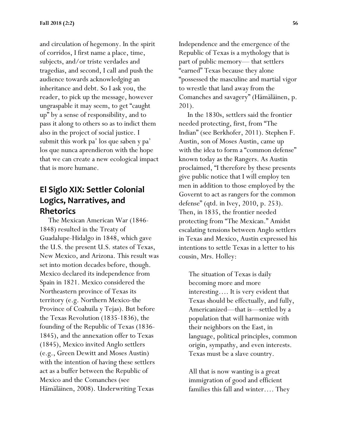and circulation of hegemony. In the spirit of corridos, I first name a place, time, subjects, and/or triste verdades and tragedias, and second, I call and push the audience towards acknowledging an inheritance and debt. So I ask you, the reader, to pick up the message, however ungraspable it may seem, to get "caught up" by a sense of responsibility, and to pass it along to others so as to indict them also in the project of social justice. I submit this work pa' los que saben y pa' los que nunca aprendieron with the hope that we can create a new ecological impact that is more humane.

## **El Siglo XIX: Settler Colonial Logics, Narratives, and Rhetorics**

 The Mexican American War (1846- 1848) resulted in the Treaty of Guadalupe-Hidalgo in 1848, which gave the U.S. the present U.S. states of Texas, New Mexico, and Arizona. This result was set into motion decades before, though. Mexico declared its independence from Spain in 1821. Mexico considered the Northeastern province of Texas its territory (e.g. Northern Mexico-the Province of Coahuila y Tejas). But before the Texas Revolution (1835-1836), the founding of the Republic of Texas (1836- 1845), and the annexation offer to Texas (1845), Mexico invited Anglo settlers (e.g., Green Dewitt and Moses Austin) with the intention of having these settlers act as a buffer between the Republic of Mexico and the Comanches (see Hämäläinen, 2008). Underwriting Texas

Independence and the emergence of the Republic of Texas is a mythology that is part of public memory— that settlers "earned" Texas because they alone "possessed the masculine and martial vigor to wrestle that land away from the Comanches and savagery" (Hämäläinen, p. 201).

 In the 1830s, settlers said the frontier needed protecting, first, from "The Indian" (see Berkhofer, 2011). Stephen F. Austin, son of Moses Austin, came up with the idea to form a "common defense" known today as the Rangers. As Austin proclaimed, "I therefore by these presents give public notice that I will employ ten men in addition to those employed by the Governt to act as rangers for the common defense" (qtd. in Ivey, 2010, p. 253). Then, in 1835, the frontier needed protecting from "The Mexican." Amidst escalating tensions between Anglo settlers in Texas and Mexico, Austin expressed his intentions to settle Texas in a letter to his cousin, Mrs. Holley:

The situation of Texas is daily becoming more and more interesting…. It is very evident that Texas should be effectually, and fully, Americanized—that is—settled by a population that will harmonize with their neighbors on the East, in language, political principles, common origin, sympathy, and even interests. Texas must be a slave country.

All that is now wanting is a great immigration of good and efficient families this fall and winter…. They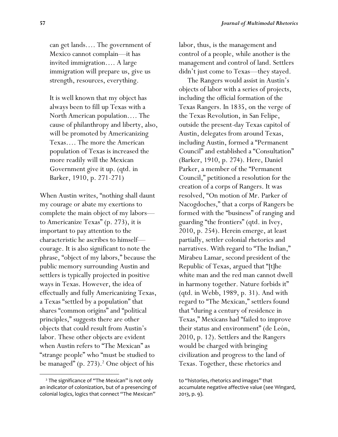can get lands…. The government of Mexico cannot complain—it has invited immigration…. A large immigration will prepare us, give us strength, resources, everything.

It is well known that my object has always been to fill up Texas with a North American population…. The cause of philanthropy and liberty, also, will be promoted by Americanizing Texas…. The more the American population of Texas is increased the more readily will the Mexican Government give it up. (qtd. in Barker, 1910, p. 271-271)

When Austin writes, "nothing shall daunt my courage or abate my exertions to complete the main object of my labors to Americanize Texas" (p. 273), it is important to pay attention to the characteristic he ascribes to himself courage. It is also significant to note the phrase, "object of my labors," because the public memory surrounding Austin and settlers is typically projected in positive ways in Texas. However, the idea of effectually and fully Americanizing Texas, a Texas "settled by a population" that shares "common origins" and "political principles," suggests there are other objects that could result from Austin's labor. These other objects are evident when Austin refers to "The Mexican" as "strange people" who "must be studied to be managed" (p. 273).<sup>2</sup> One object of his

labor, thus, is the management and control of a people, while another is the management and control of land. Settlers didn't just come to Texas—they stayed.

 The Rangers would assist in Austin's objects of labor with a series of projects, including the official formation of the Texas Rangers. In 1835, on the verge of the Texas Revolution, in San Felipe, outside the present-day Texas capitol of Austin, delegates from around Texas, including Austin, formed a "Permanent Council" and established a "Consultation" (Barker, 1910, p. 274). Here, Daniel Parker, a member of the "Permanent Council," petitioned a resolution for the creation of a corps of Rangers. It was resolved, "On motion of Mr. Parker of Nacogdoches," that a corps of Rangers be formed with the "business" of ranging and guarding "the frontiers" (qtd. in Ivey, 2010, p. 254). Herein emerge, at least partially, settler colonial rhetorics and narratives. With regard to "The Indian," Mirabeu Lamar, second president of the Republic of Texas, argued that "[t]he white man and the red man cannot dwell in harmony together. Nature forbids it" (qtd. in Webb, 1989, p. 31). And with regard to "The Mexican," settlers found that "during a century of residence in Texas," Mexicans had "failed to improve their status and environment" (de León, 2010, p. 12). Settlers and the Rangers would be charged with bringing civilization and progress to the land of Texas. Together, these rhetorics and

<sup>&</sup>lt;sup>2</sup> The significance of "The Mexican" is not only an indicator of colonization, but of a presencing of colonial logics, logics that connect "The Mexican"

to "histories, rhetorics and images" that accumulate negative affective value (see Wingard, 2013, p. 9).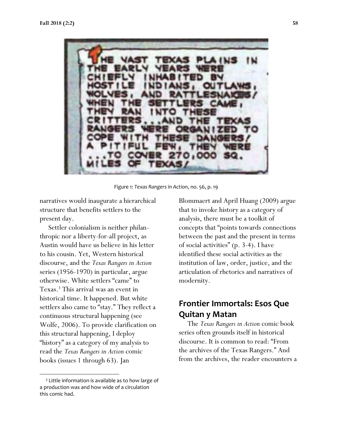

Figure 1: *Texas Rangers in Action*, no. 56, p. 19

narratives would inaugurate a hierarchical structure that benefits settlers to the present day.

 Settler colonialism is neither philanthropic nor a liberty-for-all project, as Austin would have us believe in his letter to his cousin. Yet, Western historical discourse, and the *Texas Rangers in Action* series (1956-1970) in particular, argue otherwise. White settlers "came" to Texas.<sup>3</sup> This arrival was an event in historical time. It happened. But white settlers also came to "stay." They reflect a continuous structural happening (see Wolfe, 2006). To provide clarification on this structural happening, I deploy "history" as a category of my analysis to read the *Texas Rangers in Action* comic books (issues 1 through 63). Jan

Blommaert and April Huang (2009) argue that to invoke history as a category of analysis, there must be a toolkit of concepts that "points towards connections between the past and the present in terms of social activities" (p. 3-4). I have identified these social activities as the institution of law, order, justice, and the articulation of rhetorics and narratives of modernity.

# **Frontier Immortals: Esos Que Quitan y Matan**

 The *Texas Rangers in Action* comic book series often grounds itself in historical discourse. It is common to read: "From the archives of the Texas Rangers." And from the archives, the reader encounters a

<sup>&</sup>lt;sup>3</sup> Little information is available as to how large of a production was and how wide of a circulation this comic had.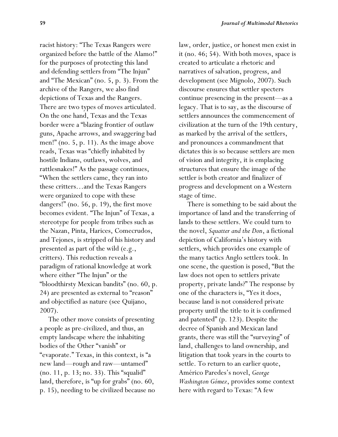racist history: "The Texas Rangers were organized before the battle of the Alamo!" for the purposes of protecting this land and defending settlers from "The Injun" and "The Mexican" (no. 5, p. 3). From the archive of the Rangers, we also find depictions of Texas and the Rangers. There are two types of moves articulated. On the one hand, Texas and the Texas border were a "blazing frontier of outlaw guns, Apache arrows, and swaggering bad men!" (no. 5, p. 11). As the image above reads, Texas was "chiefly inhabited by hostile Indians, outlaws, wolves, and rattlesnakes!" As the passage continues, "When the settlers came, they ran into these critters…and the Texas Rangers were organized to cope with these dangers!" (no. 56, p. 19), the first move becomes evident. "The Injun" of Texas, a stereotype for people from tribes such as the Nazan, Pinta, Harices, Comecrudos, and Tejones, is stripped of his history and presented as part of the wild (e.g., critters). This reduction reveals a paradigm of rational knowledge at work where either "The Injun" or the "bloodthirsty Mexican bandits" (no. 60, p. 24) are presented as external to "reason" and objectified as nature (see Quijano, 2007).

 The other move consists of presenting a people as pre-civilized, and thus, an empty landscape where the inhabiting bodies of the Other "vanish" or "evaporate." Texas, in this context, is "a new land—rough and raw—untamed" (no. 11, p. 13; no. 33). This "squalid" land, therefore, is "up for grabs" (no. 60, p. 15), needing to be civilized because no law, order, justice, or honest men exist in it (no. 46; 54). With both moves, space is created to articulate a rhetoric and narratives of salvation, progress, and development (see Mignolo, 2007). Such discourse ensures that settler specters continue presencing in the present—as a legacy. That is to say, as the discourse of settlers announces the commencement of civilization at the turn of the 19th century, as marked by the arrival of the settlers, and pronounces a commandment that dictates this is so because settlers are men of vision and integrity, it is emplacing structures that ensure the image of the settler is both creator and finalizer of progress and development on a Western stage of time.

 There is something to be said about the importance of land and the transferring of lands to these settlers. We could turn to the novel, *Squatter and the Don*, a fictional depiction of California's history with settlers, which provides one example of the many tactics Anglo settlers took. In one scene, the question is posed, "But the law does not open to settlers private property, private lands?" The response by one of the characters is, "Yes it does, because land is not considered private property until the title to it is confirmed and patented" (p. 123). Despite the decree of Spanish and Mexican land grants, there was still the "surveying" of land, challenges to land ownership, and litigation that took years in the courts to settle. To return to an earlier quote, Américo Paredes's novel, *George Washington Gómez*, provides some context here with regard to Texas: "A few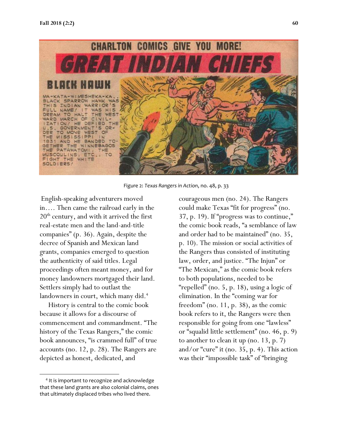

Figure 2: *Texas Rangers in Action*, no. 48, p. 33

English-speaking adventurers moved in…. Then came the railroad early in the  $20<sup>th</sup>$  century, and with it arrived the first real-estate men and the land-and-title companies" (p. 36). Again, despite the decree of Spanish and Mexican land grants, companies emerged to question the authenticity of said titles. Legal proceedings often meant money, and for money landowners mortgaged their land. Settlers simply had to outlast the landowners in court, which many did.<sup>4</sup>

 History is central to the comic book because it allows for a discourse of commencement and commandment. "The history of the Texas Rangers," the comic book announces, "is crammed full" of true accounts (no. 12, p. 28). The Rangers are depicted as honest, dedicated, and

courageous men (no. 24). The Rangers could make Texas "fit for progress" (no. 37, p. 19). If "progress was to continue," the comic book reads, "a semblance of law and order had to be maintained" (no. 35, p. 10). The mission or social activities of the Rangers thus consisted of instituting law, order, and justice. "The Injun" or "The Mexican," as the comic book refers to both populations, needed to be "repelled" (no. 5, p. 18), using a logic of elimination. In the "coming war for freedom" (no. 11, p. 38), as the comic book refers to it, the Rangers were then responsible for going from one "lawless" or "squalid little settlement" (no. 46, p. 9) to another to clean it up (no. 13, p. 7) and/or "cure" it (no. 35, p. 4). This action was their "impossible task" of "bringing

<sup>4</sup> It is important to recognize and acknowledge that these land grants are also colonial claims, ones that ultimately displaced tribes who lived there.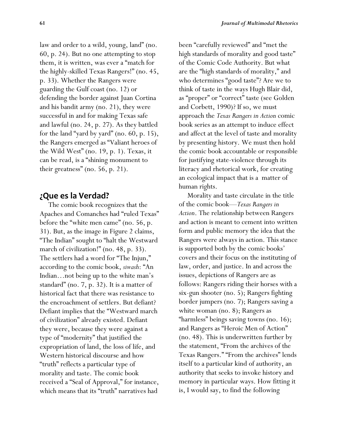law and order to a wild, young, land" (no. 60, p. 24). But no one attempting to stop them, it is written, was ever a "match for the highly-skilled Texas Rangers!" (no. 45, p. 33). Whether the Rangers were guarding the Gulf coast (no. 12) or defending the border against Juan Cortina and his bandit army (no. 21), they were successful in and for making Texas safe and lawful (no. 24, p. 27). As they battled for the land "yard by yard" (no. 60, p. 15), the Rangers emerged as "Valiant heroes of the Wild West" (no. 19, p. 1). Texas, it can be read, is a "shining monument to their greatness" (no. 56, p. 21).

#### **¿Que es la Verdad?**

 The comic book recognizes that the Apaches and Comanches had "ruled Texas" before the "white men came" (no. 56, p. 31). But, as the image in Figure 2 claims, "The Indian" sought to "halt the Westward march of civilization!" (no. 48, p. 33). The settlers had a word for "The Injun," according to the comic book, *siwash*: "An Indian…not being up to the white man's standard" (no. 7, p. 32). It is a matter of historical fact that there was resistance to the encroachment of settlers. But defiant? Defiant implies that the "Westward march of civilization" already existed. Defiant they were, because they were against a type of "modernity" that justified the expropriation of land, the loss of life, and Western historical discourse and how "truth" reflects a particular type of morality and taste. The comic book received a "Seal of Approval," for instance, which means that its "truth" narratives had

been "carefully reviewed" and "met the high standards of morality and good taste" of the Comic Code Authority. But what are the "high standards of morality," and who determines "good taste"? Are we to think of taste in the ways Hugh Blair did, as "proper" or "correct" taste (see Golden and Corbett, 1990)? If so, we must approach the *Texas Rangers in Action* comic book series as an attempt to induce effect and affect at the level of taste and morality by presenting history. We must then hold the comic book accountable or responsible for justifying state-violence through its literacy and rhetorical work, for creating an ecological impact that is a matter of human rights.

 Morality and taste circulate in the title of the comic book—*Texas Rangers in Action*. The relationship between Rangers and action is meant to cement into written form and public memory the idea that the Rangers were always in action. This stance is supported both by the comic books' covers and their focus on the instituting of law, order, and justice. In and across the issues, depictions of Rangers are as follows: Rangers riding their horses with a six-gun shooter (no. 5); Rangers fighting border jumpers (no. 7); Rangers saving a white woman (no. 8); Rangers as "harmless" beings saving towns (no. 16); and Rangers as "Heroic Men of Action" (no. 48). This is underwritten further by the statement, "From the archives of the Texas Rangers." "From the archives" lends itself to a particular kind of authority, an authority that seeks to invoke history and memory in particular ways. How fitting it is, I would say, to find the following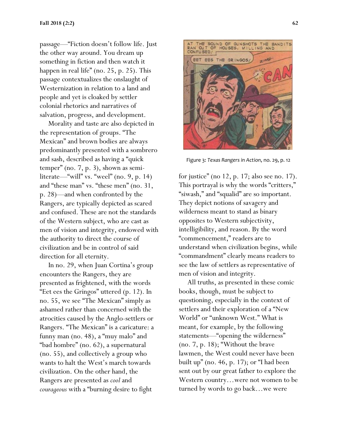passage—"Fiction doesn't follow life. Just the other way around. You dream up something in fiction and then watch it happen in real life" (no. 25, p. 25). This passage contextualizes the onslaught of Westernization in relation to a land and people and yet is cloaked by settler colonial rhetorics and narratives of salvation, progress, and development.

 Morality and taste are also depicted in the representation of groups. "The Mexican" and brown bodies are always predominantly presented with a sombrero and sash, described as having a "quick temper" (no. 7, p. 3), shown as semiliterate—"will" vs. "weel" (no. 9, p. 14) and "these man" vs. "these men" (no. 31, p. 28)—and when confronted by the Rangers, are typically depicted as scared and confused. These are not the standards of the Western subject, who are cast as men of vision and integrity, endowed with the authority to direct the course of civilization and be in control of said direction for all eternity.

 In no. 29, when Juan Cortina's group encounters the Rangers, they are presented as frightened, with the words "Eet ees the Gringos" uttered (p. 12). In no. 55, we see "The Mexican" simply as ashamed rather than concerned with the atrocities caused by the Anglo-settlers or Rangers. "The Mexican" is a caricature: a funny man (no. 48), a "muy malo" and "bad hombre" (no. 62), a supernatural (no. 55), and collectively a group who wants to halt the West's march towards civilization. On the other hand, the Rangers are presented as *cool* and *courageous* with a "burning desire to fight



Figure 3: *Texas Rangers in Action*, no. 29, p. 12

for justice" (no 12, p. 17; also see no. 17). This portrayal is why the words "critters," "siwash," and "squalid" are so important. They depict notions of savagery and wilderness meant to stand as binary opposites to Western subjectivity, intelligibility, and reason. By the word "commencement," readers are to understand when civilization begins, while "commandment" clearly means readers to see the law of settlers as representative of men of vision and integrity.

 All truths, as presented in these comic books, though, must be subject to questioning, especially in the context of settlers and their exploration of a "New World" or "unknown West." What is meant, for example, by the following statements—"opening the wilderness" (no. 7, p. 18); "Without the brave lawmen, the West could never have been built up" (no. 46, p. 17); or "I had been sent out by our great father to explore the Western country…were not women to be turned by words to go back…we were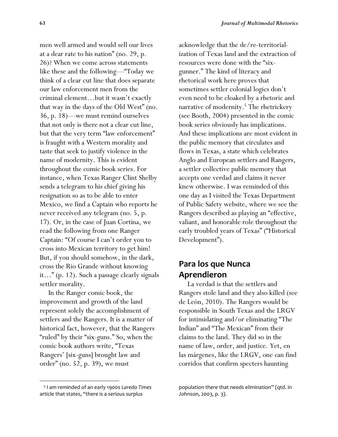men well armed and would sell our lives at a dear rate to his nation" (no. 29, p. 26)? When we come across statements like these and the following—"Today we think of a clear cut line that does separate our law enforcement men from the criminal element…but it wasn't exactly that way in the days of the Old West" (no. 36, p. 18)—we must remind ourselves that not only is there not a clear cut line, but that the very term "law enforcement" is fraught with a Western morality and taste that seek to justify violence in the name of modernity. This is evident throughout the comic book series. For instance, when Texas Ranger Clint Shelby sends a telegram to his chief giving his resignation so as to be able to enter Mexico, we find a Captain who reports he never received any telegram (no. 5, p. 17). Or, in the case of Juan Cortina, we read the following from one Ranger Captain: "Of course I can't order you to cross into Mexican territory to get him! But, if you should somehow, in the dark, cross the Rio Grande without knowing it…" (p. 12). Such a passage clearly signals settler morality.

 In the Ranger comic book, the improvement and growth of the land represent solely the accomplishment of settlers and the Rangers. It is a matter of historical fact, however, that the Rangers "ruled" by their "six-guns." So, when the comic book authors write, "Texas Rangers' [six-guns] brought law and order" (no. 52, p. 39), we must

acknowledge that the de/re-territorialization of Texas land and the extraction of resources were done with the "sixgunner." The kind of literacy and rhetorical work here proves that sometimes settler colonial logics don't even need to be cloaked by a rhetoric and narrative of modernity.<sup>5</sup> The rhetrickery (see Booth, 2004) presented in the comic book series obviously has implications. And these implications are most evident in the public memory that circulates and flows in Texas, a state which celebrates Anglo and European settlers and Rangers, a settler collective public memory that accepts one verdad and claims it never knew otherwise. I was reminded of this one day as I visited the Texas Department of Public Safety website, where we see the Rangers described as playing an "effective, valiant, and honorable role throughout the early troubled years of Texas" ("Historical Development").

## **Para los que Nunca Aprendieron**

 La verdad is that the settlers and Rangers stole land and they also killed (see de León, 2010). The Rangers would be responsible in South Texas and the LRGV for intimidating and/or eliminating "The Indian" and "The Mexican" from their claims to the land. They did so in the name of law, order, and justice. Yet, en las márgenes, like the LRGV, one can find corridos that confirm specters haunting

 <sup>5</sup> I am reminded of an early 1900s *Laredo Times* article that states, "there is a serious surplus

population there that needs elimination" (qtd. in Johnson, 2003, p. 3).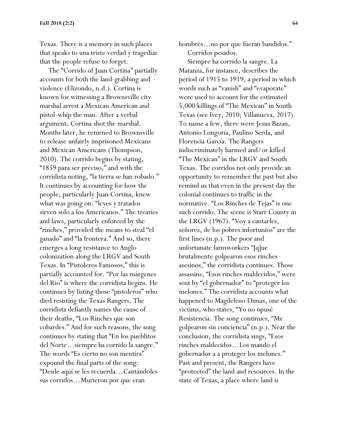Texas. There is a memory in such places that speaks to una triste verdad y tragedias that the people refuse to forget.

 The "Corrido of Juan Cortina" partially accounts for both the land-grabbing and violence (Elizondo, n.d.). Cortina is known for witnessing a Brownsville city marshal arrest a Mexican American and pistol-whip the man. After a verbal argument, Cortina shot the marshal. Months later, he returned to Brownsville to release unfairly imprisoned Mexicans and Mexican Americans (Thompson, 2010). The corrido begins by stating, "1859 para ser preciso," and with the corridista noting, "la tierra se han robado." It continues by accounting for how the people, particularly Juan Cortina, knew what was going on: "leyes y tratados sirven solo a los Americanos." The treaties and laws, particularly enforced by the "rinches," provided the means to steal "el ganado" and "la frontera." And so, there emerges a long resistance to Anglo colonization along the LRGV and South Texas. In "Pistoleros Famosos," this is partially accounted for. "Por las márgenes del Rio" is where the corridista begins. He continues by listing those "pistoleros" who died resisting the Texas Rangers. The corridista defiantly names the cause of their deaths, "Los Rinches que son cobardes." And for such reasons, the song continues by stating that "En los pueblitos del Norte…siempre ha corrido la sangre." The words "Es cierto no son mentira" expound the final parts of the song: "Desde aquí se les recuerda…Cantándoles sus corridos…Murieron por que eran

hombres…no por que fueran bandidos." Corridos pesados.

 Siempre ha corrido la sangre. La Matanza, for instance, describes the period of 1915 to 1919, a period in which words such as "vanish" and "evaporate" were used to account for the estimated 5,000 killings of "The Mexican" in South Texas (see Ivey, 2010; Villanueva, 2017). To name a few, there were Jesus Bazan, Antonio Longoria, Paulino Serda, and Florencia García. The Rangers indiscriminately harmed and/or killed "The Mexican" in the LRGV and South Texas. The corridos not only provide an opportunity to remember the past but also remind us that even in the present day the colonial continues to traffic in the normative. "Los Rinches de Tejas" is one such corrido. The scene is Starr County in the LRGV (1967). "Voy a cantarles, señores, de los pobres infortunios" are the first lines (n.p.). The poor and unfortunate farmworkers "[q]ue brutalmente golpearon esos rinches asesinos," the corridista continues. Those assassins, "Esos rinches maldecidos," were sent by "el gobernador" to "proteger los melones." The corridista accounts what happened to Magdeleno Dimas, one of the victims, who states, "Yo no opusé Resistencia. The song continues, "Me golpearon sin conciencia" (n.p.). Near the conclusion, the corridista sings, "Esos rinches maldecidos…Los mandó el gobernador a a proteger los melones." Past and present, the Rangers have "protected" the land and resources. In the state of Texas, a place where land is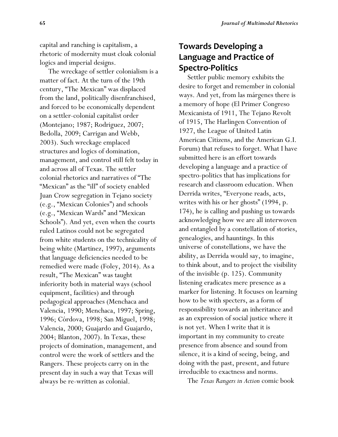capital and ranching is capitalism, a rhetoric of modernity must cloak colonial logics and imperial designs.

 The wreckage of settler colonialism is a matter of fact. At the turn of the 19th century, "The Mexican" was displaced from the land, politically disenfranchised, and forced to be economically dependent on a settler-colonial capitalist order (Montejano; 1987; Rodriguez, 2007; Bedolla, 2009; Carrigan and Webb, 2003). Such wreckage emplaced structures and logics of domination, management, and control still felt today in and across all of Texas. The settler colonial rhetorics and narratives of "The "Mexican" as the "ill" of society enabled Juan Crow segregation in Tejano society (e.g., "Mexican Colonies") and schools (e.g., "Mexican Wards" and "Mexican Schools"). And yet, even when the courts ruled Latinos could not be segregated from white students on the technicality of being white (Martinez, 1997), arguments that language deficiencies needed to be remedied were made (Foley, 2014). As a result, "The Mexican" was taught inferiority both in material ways (school equipment, facilities) and through pedagogical approaches (Menchaca and Valencia, 1990; Menchaca, 1997; Spring, 1996; Córdova, 1998; San Miguel, 1998; Valencia, 2000; Guajardo and Guajardo, 2004; Blanton, 2007). In Texas, these projects of domination, management, and control were the work of settlers and the Rangers. These projects carry on in the present day in such a way that Texas will always be re-written as colonial.

# **Towards Developing a Language and Practice of Spectro-Politics**

 Settler public memory exhibits the desire to forget and remember in colonial ways. And yet, from las márgenes there is a memory of hope (El Primer Congreso Mexicanista of 1911, The Tejano Revolt of 1915, The Harlingen Convention of 1927, the League of United Latin American Citizens, and the American G.I. Forum) that refuses to forget. What I have submitted here is an effort towards developing a language and a practice of spectro-politics that has implications for research and classroom education. When Derrida writes, "Everyone reads, acts, writes with his or her ghosts" (1994, p. 174), he is calling and pushing us towards acknowledging how we are all interwoven and entangled by a constellation of stories, genealogies, and hauntings. In this universe of constellations, we have the ability, as Derrida would say, to imagine, to think about, and to project the visibility of the invisible (p. 125). Community listening eradicates mere presence as a marker for listening. It focuses on learning how to be with specters, as a form of responsibility towards an inheritance and as an expression of social justice where it is not yet. When I write that it is important in my community to create presence from absence and sound from silence, it is a kind of seeing, being, and doing with the past, present, and future irreducible to exactness and norms.

The *Texas Rangers in Action* comic book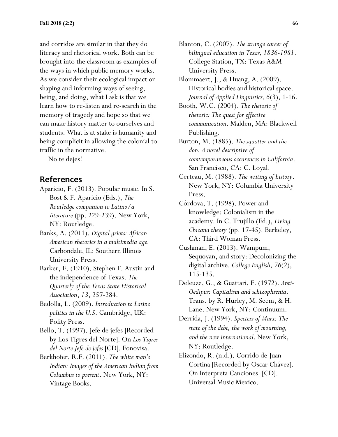and corridos are similar in that they do literacy and rhetorical work. Both can be brought into the classroom as examples of the ways in which public memory works. As we consider their ecological impact on shaping and informing ways of seeing, being, and doing, what I ask is that we learn how to re-listen and re-search in the memory of tragedy and hope so that we can make history matter to ourselves and students. What is at stake is humanity and being complicit in allowing the colonial to traffic in the normative.

No te dejes!

## **References**

- Aparicio, F. (2013). Popular music. In S. Bost & F. Aparicio (Eds.), *The Routledge companion to Latino/a literature* (pp. 229-239). New York, NY: Routledge.
- Banks, A. (2011). *Digital griots: African American rhetorics in a multimedia age.* Carbondale, IL: Southern Illinois University Press.
- Barker, E. (1910). Stephen F. Austin and the independence of Texas. *The Quarterly of the Texas State Historical Association*, *13*, 257-284.
- Bedolla, L. (2009). *Introduction to Latino politics in the U.S*. Cambridge, UK: Polity Press.
- Bello, T. (1997). Jefe de jefes [Recorded by Los Tigres del Norte]. On *Los Tigres del Norte Jefe de jefes* [CD]. Fonovisa.
- Berkhofer, R.F. (2011). *The white man's Indian: Images of the American Indian from Columbus to present*. New York, NY: Vintage Books.
- Blanton, C. (2007). *The strange career of bilingual education in Texas, 1836-1981*. College Station, TX: Texas A&M University Press.
- Blommaert, J., & Huang, A. (2009). Historical bodies and historical space. *Journal of Applied Linguistics, 6*(3), 1-16.
- Booth, W.C. (2004). *The rhetoric of rhetoric: The quest for effective communication*. Malden, MA: Blackwell Publishing.

Burton, M. (1885). *The squatter and the don: A novel descriptive of comtemporaneous occurences in California*. San Francisco, CA: C. Loyal.

- Certeau, M. (1988). *The writing of history*. New York, NY: Columbia University Press.
- Córdova, T. (1998). Power and knowledge: Colonialism in the academy. In C. Trujillo (Ed.), *Living Chicana theory* (pp. 17-45). Berkeley, CA: Third Woman Press.
- Cushman, E. (2013). Wampum, Sequoyan, and story: Decolonizing the digital archive. *College English*, *76*(2), 115-135.
- Deleuze, G., & Guattari, F. (1972). *Anti-Oedipus: Capitalism and schizophrenia*. Trans. by R. Hurley, M. Seem, & H. Lane. New York, NY: Continuum.
- Derrida, J. (1994). *Specters of Marx: The state of the debt, the work of mourning, and the new international*. New York, NY: Routledge.
- Elizondo, R. (n.d.). Corrido de Juan Cortina [Recorded by Oscar Chávez]. On Interpreta Canciones. [CD]. Universal Music Mexico.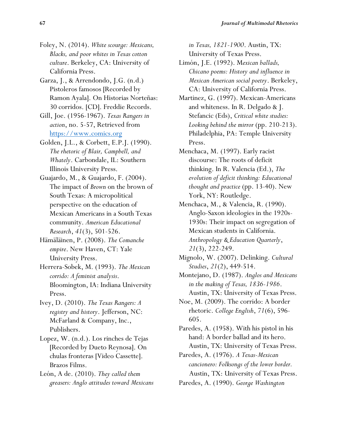- Foley, N. (2014). *White scourge: Mexicans, Blacks, and poor whites in Texas cotton culture*. Berkeley, CA: University of California Press.
- Garza, J., & Arrendondo, J.G. (n.d.) Pistoleros famosos [Recorded by Ramon Ayala]. On Historias Norteñas: 30 corridos. [CD]. Freddie Records.
- Gill, Joe. (1956-1967). *Texas Rangers in action*, no. 5-57, Retrieved from [https://www.comics.org](https://www.comics.org/)
- Golden, J.L., & Corbett, E.P.J. (1990). *The rhetoric of Blair, Campbell, and Whately*. Carbondale, IL: Southern Illinois University Press.
- Guajardo, M., & Guajardo, F. (2004). The impact of *Brown* on the brown of South Texas: A micropolitical perspective on the education of Mexican Americans in a South Texas community. *American Educational Research*, *41*(3), 501-526.
- Hämäläinen, P. (2008). *The Comanche empire*. New Haven, CT: Yale University Press.
- Herrera-Sobek, M. (1993). *The Mexican corrido: A feminist analysis*. Bloomington, IA: Indiana University Press.
- Ivey, D. (2010). *The Texas Rangers: A registry and history*. Jefferson, NC: McFarland & Company, Inc., Publishers.
- Lopez, W. (n.d.). Los rinches de Tejas [Recorded by Dueto Reynosa]. On chulas fronteras [Video Cassette]. Brazos Films.
- León, A de. (2010). *They called them greasers: Anglo attitudes toward Mexicans*

*in Texas, 1821-1900*. Austin, TX: University of Texas Press.

- Limón, J.E. (1992). M*exican ballads, Chicano poems: History and influence in Mexican American social poetry*. Berkeley, CA: University of California Press.
- Martinez, G. (1997). Mexican-Americans and whiteness. In R. Delgado & J. Stefancic (Eds), *Critical white studies: Looking behind the mirror* (pp. 210-213). Philadelphia, PA: Temple University Press.
- Menchaca, M. (1997). Early racist discourse: The roots of deficit thinking. In R. Valencia (Ed.), *The evolution of deficit thinking: Educational thought and practice* (pp. 13-40). New York, NY: Routledge.
- Menchaca, M., & Valencia, R. (1990). Anglo-Saxon ideologies in the 1920s-1930s: Their impact on segregation of Mexican students in California. *Anthropology & Education Quarterly*, *21*(3), 222-249.
- Mignolo, W. (2007). Delinking. *Cultural Studies*, *21*(2), 449-514.
- Montejano, D. (1987). *Anglos and Mexicans in the making of Texas, 1836-1986*. Austin, TX: University of Texas Press.
- Noe, M. (2009). The corrido: A border rhetoric. *College English*, *71*(6), 596- 605.
- Paredes, A. (1958). With his pistol in his hand: A border ballad and its hero. Austin, TX: University of Texas Press.
- Paredes, A. (1976). *A Texas-Mexican cancionero: Folksongs of the lower border.* Austin, TX: University of Texas Press.
- Paredes, A. (1990). *George Washington*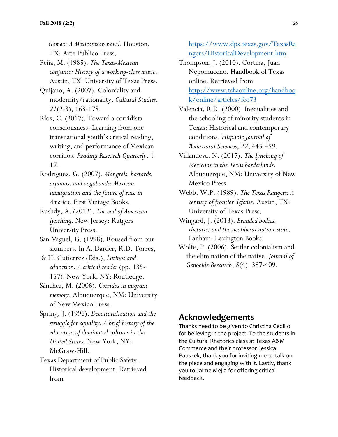*Gomez: A Mexicotexan novel*. Houston, TX: Arte Publico Press.

- Peña, M. (1985). *The Texas-Mexican conjunto: History of a working-class music*. Austin, TX: University of Texas Press.
- Quijano, A. (2007). Coloniality and modernity/rationality. *Cultural Studies*, *21*(2-3), 168-178.
- Ríos, C. (2017). Toward a corridista consciousness: Learning from one transnational youth's critical reading, writing, and performance of Mexican corridos. *Reading Research Quarterly*. 1- 17.
- Rodriguez, G. (2007). *Mongrels, bastards, orphans, and vagabonds: Mexican immigration and the future of race in America*. First Vintage Books.
- Rushdy, A. (2012). *The end of American lynching*. New Jersey: Rutgers University Press.
- San Miguel, G. (1998). Roused from our slumbers. In A. Darder, R.D. Torres,
- & H. Gutierrez (Eds.), *Latinos and education: A critical reader* (pp. 135- 157). New York, NY: Routledge.
- Sánchez, M. (2006). *Corridos in migrant memory*. Albuquerque, NM: University of New Mexico Press.
- Spring, J. (1996). *Deculturalization and the struggle for equality: A brief history of the education of dominated cultures in the United States*. New York, NY: McGraw-Hill.
- Texas Department of Public Safety. Historical development. Retrieved from

[https://www.dps.texas.gov/TexasRa](https://www.dps.texas.gov/TexasRangers/HistoricalDevelopment.htm) [ngers/HistoricalDevelopment.htm](https://www.dps.texas.gov/TexasRangers/HistoricalDevelopment.htm)

- Thompson, J. (2010). Cortina, Juan Nepomuceno. Handbook of Texas online. Retrieved from [http://www.tshaonline.org/handboo](http://www.tshaonline.org/handbook/online/articles/fco73) [k/online/articles/fco73](http://www.tshaonline.org/handbook/online/articles/fco73)
- Valencia, R.R. (2000). Inequalities and the schooling of minority students in Texas: Historical and contemporary conditions. *Hispanic Journal of Behavioral Sciences*, *22*, 445-459.
- Villanueva. N. (2017). *The lynching of Mexicans in the Texas borderlands*. Albuquerque, NM: University of New Mexico Press.
- Webb, W.P. (1989). *The Texas Rangers: A century of frontier defense*. Austin, TX: University of Texas Press.
- Wingard, J. (2013). *Branded bodies, rhetoric, and the neoliberal nation-state*. Lanham: Lexington Books.
- Wolfe, P. (2006). Settler colonialism and the elimination of the native. *Journal of Genocide Research*, *8*(4), 387-409.

## **Acknowledgements**

Thanks need to be given to Christina Cedillo for believing in the project. To the students in the Cultural Rhetorics class at Texas A&M Commerce and their professor Jessica Pauszek, thank you for inviting me to talk on the piece and engaging with it. Lastly, thank you to Jaime Mejia for offering critical feedback.